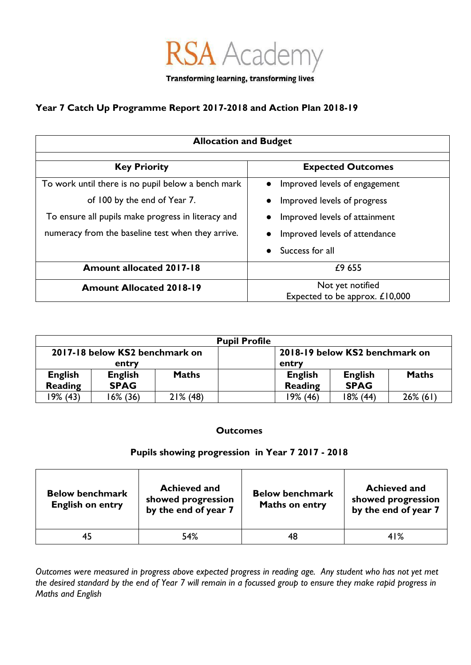

## **Year 7 Catch Up Programme Report 2017-2018 and Action Plan 2018-19**

| <b>Allocation and Budget</b>                       |                                                    |  |  |  |
|----------------------------------------------------|----------------------------------------------------|--|--|--|
| <b>Key Priority</b>                                | <b>Expected Outcomes</b>                           |  |  |  |
| To work until there is no pupil below a bench mark | Improved levels of engagement<br>$\bullet$         |  |  |  |
| of 100 by the end of Year 7.                       | Improved levels of progress                        |  |  |  |
| To ensure all pupils make progress in literacy and | Improved levels of attainment                      |  |  |  |
| numeracy from the baseline test when they arrive.  | Improved levels of attendance                      |  |  |  |
|                                                    | Success for all                                    |  |  |  |
| <b>Amount allocated 2017-18</b>                    | £9 655                                             |  |  |  |
| <b>Amount Allocated 2018-19</b>                    | Not yet notified<br>Expected to be approx. £10,000 |  |  |  |

| <b>Pupil Profile</b>           |                |              |                                |                |              |
|--------------------------------|----------------|--------------|--------------------------------|----------------|--------------|
| 2017-18 below KS2 benchmark on |                |              | 2018-19 below KS2 benchmark on |                |              |
| entry                          |                | entry        |                                |                |              |
| <b>English</b>                 | <b>English</b> | <b>Maths</b> | <b>English</b>                 | <b>English</b> | <b>Maths</b> |
| Reading                        | <b>SPAG</b>    |              | Reading                        | <b>SPAG</b>    |              |
| 19% (43)                       | 6% (36)        | $21\%$ (48)  | 19% (46)                       | 18% (44)       | $26\%$ (61)  |

## **Outcomes**

## **Pupils showing progression in Year 7 2017 - 2018**

| <b>Below benchmark</b><br><b>English on entry</b> | <b>Achieved and</b><br>showed progression<br>by the end of year 7 | <b>Below benchmark</b><br><b>Maths on entry</b> | <b>Achieved and</b><br>showed progression<br>by the end of year 7 |
|---------------------------------------------------|-------------------------------------------------------------------|-------------------------------------------------|-------------------------------------------------------------------|
|                                                   | 54%                                                               | 48                                              | 41%                                                               |

*Outcomes were measured in progress above expected progress in reading age. Any student who has not yet met the desired standard by the end of Year 7 will remain in a focussed group to ensure they make rapid progress in Maths and English*